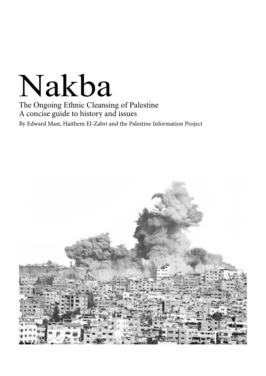# Nakba

The Ongoing Ethnic Cleansing of Palestine A concise guide to history and issues By Edward Mast, Haithem El-Zabri and the Palestine Information Project

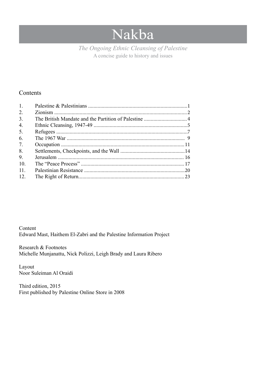# Nakba

A concise guide to history and issues *The Ongoing Ethnic Cleansing of Palestine*

### **Contents**

| 1.               |  |
|------------------|--|
| 2.               |  |
| 3 <sub>1</sub>   |  |
| $\overline{4}$ . |  |
| 5.               |  |
| 6.               |  |
| 7.               |  |
| 8.               |  |
| 9.               |  |
| 10.              |  |
| 11.              |  |
| 12.              |  |
|                  |  |

Content Edward Mast, Haithem El-Zabri and the Palestine Information Project

Research & Footnotes Michelle Munjanattu, Nick Polizzi, Leigh Brady and Laura Ribero

Layout Noor Suleiman Al Oraidi

Third edition, 2015 First published by Palestine Online Store in 2008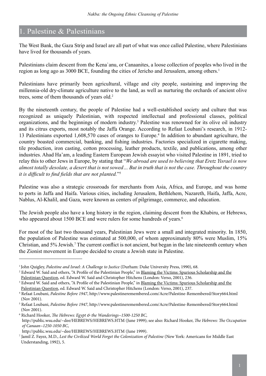# 1. Palestine & Palestinians

The West Bank, the Gaza Strip and Israel are all part of what was once called Palestine, where Palestinians have lived for thousands of years.

Palestinians claim descent from the Kena`anu, or Canaanites, a loose collection of peoples who lived in the region as long ago as 3000 BCE, founding the cities of Jericho and Jerusalem, among others.<sup>1</sup>

Palestinians have primarily been agricultural, village and city people, sustaining and improving the millennia-old dry-climate agriculture native to the land, as well as nurturing the orchards of ancient olive trees, some of them thousands of years old.<sup>2</sup>

By the nineteenth century, the people of Palestine had a well-established society and culture that was recognized as uniquely Palestinian, with respected intellectual and professional classes, political organizations, and the beginnings of modern industry.<sup>3</sup> Palestine was renowned for its olive oil industry and its citrus exports, most notably the Jaffa Orange. According to Refaat Loubani's research, in 1912- 13 Palestinians exported 1,608,570 cases of oranges to Europe.4 In addition to abundant agriculture, the country boasted commercial, banking, and fishing industries. Factories specialized in cigarette making, tile production, iron casting, cotton processing, leather products, textile, and publications, among other industries. Ahad Ha'am, a leading Eastern European Jewish essayist who visited Palestine in 1891, tried to relay this to other Jews in Europe, by stating that "*We abroad are used to believing that Eretz Yisrael is now almost totally desolate, a desert that is not sowed… But in truth that is not the case. Throughout the country it is difficult to find fields that are not planted.*"5

Palestine was also a strategic crossroads for merchants from Asia, Africa, and Europe, and was home to ports in Jaffa and Haifa. Various cities, including Jerusalem, Bethlehem, Nazareth, Haifa, Jaffa, Acre, Nablus, Al-Khalil, and Gaza, were known as centers of pilgrimage, commerce, and education.

The Jewish people also have a long history in the region, claiming descent from the Khabiru, or Hebrews, who appeared about 1500 BCE and were rulers for some hundreds of years.<sup>6</sup>

For most of the last two thousand years, Palestinian Jews were a small and integrated minority. In 1850, the population of Palestine was estimated at 500,000, of whom approximately 80% were Muslim, 15% Christian, and 5% Jewish.<sup>7</sup> The current conflict is not ancient, but began in the late nineteenth century when the Zionist movement in Europe decided to create a Jewish state in Palestine.

<sup>1</sup> John Quigley, *Palestine and Israel: A Challenge to Justice* (Durham: Duke University Press, 1990), 68.

<sup>&</sup>lt;sup>2</sup> Edward W. Said and others, "A Profile of the Palestinian People," in <u>Blaming the Victims: Spurious Scholarship and the</u> Palestinian Question, ed. Edward W. Said and Christopher Hitchens (London: Verso, 2001), 236.

<sup>&</sup>lt;sup>3</sup> Edward W. Said and others, "A Profile of the Palestinian People," in <u>Blaming the Victims: Spurious Scholarship and the</u> Palestinian Question, ed. Edward W. Said and Christopher Hitchens (London: Verso, 2001), 237.

<sup>4</sup> Refaat Loubani, *Palestine Before 1947*, http://www.palestineremembered.com/Acre/Palestine-Remembered/Story664.html (Nov 2001).

<sup>5</sup> Refaat Loubani, *Palestine Before 1947*, http://www.palestineremembered.com/Acre/Palestine-Remembered/Story664.html (Nov 2001).

<sup>6</sup> Richard Hooker, *The Hebrews: Egypt & the Wanderings~1500-1250 BC*, http://public.wsu.edu/~dee/HEBREWS/HEBREWS.HTM (June 1999); see also: Richard Hooker, *The Hebrews: The Occupation of Canaan~1250-1050 BC*,

http://public.wsu.edu/~dee/HEBREWS/HEBREWS.HTM (June 1999).

<sup>7</sup> Jamil Z. Fayez, M.D., *Lest the Civilized World Forget the Colonization of Palestine* (New York: Americans for Middle East Understanding, 1992), 5.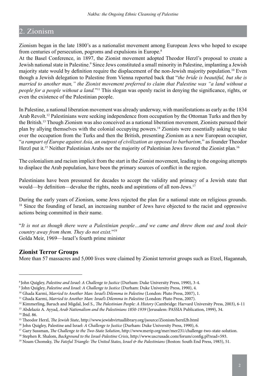# 2. Zionism

Zionism began in the late 1800's as a nationalist movement among European Jews who hoped to escape from centuries of persecution, pogroms and expulsions in Europe.<sup>8</sup>

At the Basel Conference, in 1897, the Zionist movement adopted Theodor Herzl's proposal to create a Jewish national state in Palestine.<sup>9</sup> Since Jews constituted a small minority in Palestine, implanting a Jewish majority state would by definition require the displacement of the non-Jewish majority population.10 Even though a Jewish delegation to Palestine from Vienna reported back that "*the bride is beautiful, but she is married to another man," the Zionist movement preferred to claim that Palestine was "a land without a people for a people without a land.*"11 This slogan was openly racist in denying the significance, rights, or even the existence of the Palestinian people.

In Palestine, a national liberation movement was already underway, with manifestations as early as the 1834 Arab Revolt.12 Palestinians were seeking independence from occupation by the Ottoman Turks and then by the British.13 Though Zionism was also conceived as a national liberation movement, Zionists pursued their plan by allying themselves with the colonial occupying powers.14 Zionists were essentially asking to take over the occupation from the Turks and then the British, presenting Zionism as a new European occupier, "*a rampart of Europe against Asia, an outpost of civilization as opposed to barbarism,*" as founder Theodor Herzl put it.<sup>15</sup> Neither Palestinian Arabs nor the majority of Palestinian Jews favored the Zionist plan.<sup>16</sup>

The colonialism and racism implicit from the start in the Zionist movement, leading to the ongoing attempts to displace the Arab population, have been the primary sources of conflict in the region.

Palestinians have been pressured for decades to accept the validity and primacy of a Jewish state that would—by definition—devalue the rights, needs and aspirations of all non-Jews.<sup>17</sup>

During the early years of Zionism, some Jews rejected the plan for a national state on religious grounds. <sup>18</sup> Since the founding of Israel, an increasing number of Jews have objected to the racist and oppressive actions being committed in their name.

"*It is not as though there were a Palestinian people…and we came and threw them out and took their country away from them. They do not exist.*"19 Golda Meir, 1969—Israel's fourth prime minister

#### **Zionist Terror Groups**

More than 57 massacres and 5,000 lives were claimed by Zionist terrorist groups such as Etzel, Hagannah,

<sup>8</sup> John Quigley, *Palestine and Israel: A Challenge to Justice* (Durham: Duke University Press, 1990), 3-4.

<sup>9</sup> John Quigley, *Palestine and Israel: A Challenge to Justice* (Durham: Duke University Press, 1990), 4.

<sup>&</sup>lt;sup>10</sup> Ghada Karmi, *Married to Another Man: Israel's Dilemma in Palestine* (London: Pluto Press, 2007), 1.

<sup>11</sup> Ghada Karmi, *Married to Another Man: Israel's Dilemma in Palestine* (London: Pluto Press, 2007).

<sup>12</sup> Kimmerling, Baruch and Migdal, Joel S., *The Palestinian People: A History* (Cambridge: Harvard University Press, 2003), 6-11 <sup>13</sup> Abdelaziz A. Ayyad, *Arab Nationalism and the Palestinians 1850-1939* (Jerusalem: PASSIA Publication, 1999), 34.<br><sup>14</sup> Ibid. 86.

<sup>15</sup> Theodor Herzl, *The Jewish State*, http://www.jewishvirtuallibrary.org/jsource/Zionism/herzl2b.html

<sup>16</sup> John Quigley, Palestine and Israel: *A Challenge to Justice* (Durham: Duke University Press, 1990), 6.

<sup>&</sup>lt;sup>17</sup> Gary Sussman, *The Challenge to the Two-State Solution*, http://www.merip.org/mer/mer231/challenge-two-state-solution.

<sup>18</sup> Stephen R. Shalom, *Background to the Israel-Palestine Crisis*, http://www.uscrusade.com/forum/config.pl?read=593.

<sup>&</sup>lt;sup>19</sup> Noam Chomsky, *The Fateful Triangle: The United States, Israel & the Palestinians* (Boston: South End Press, 1983), 51.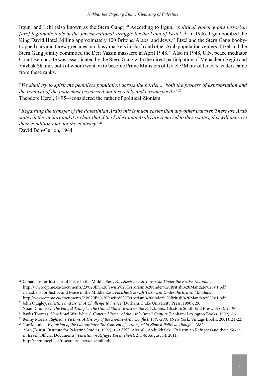Irgun, and Lehi (also known as the Stern Gang).20 According to Irgun, "*political violence and terrorism [are] legitimate tools in the Jewish national struggle for the Land of Israel.*<sup>221</sup> In 1946, Irgun bombed the King David Hotel, killing approximately 100 Britons, Arabs, and Jews.<sup>22</sup> Etzel and the Stern Gang boobytrapped cars and threw grenades into busy markets in Haifa and other Arab population centers. Etzel and the Stern Gang jointly committed the Deir Yassin massacre in April 1948.<sup>23</sup> Also in 1948, U.N. peace mediator Count Bernadotte was assassinated by the Stern Gang with the direct participation of Menachem Begin and Yitzhak Shamir, both of whom went on to become Prime Ministers of Israel.<sup>24</sup> Many of Israel's leaders came from these ranks.

"*We shall try to spirit the penniless population across the border… both the process of expropriation and the removal of the poor must be carried out discretely and circumspectly*."25 Theodore Herzl, 1895—considered the father of political Zionism

"*Regarding the transfer of the Palestinian Arabs this is much easier than any other transfer. There are Arab states in the vicinity and it is clear that if the Palestinian Arabs are removed to these states, this will improve their condition and not the contrary.*"26 David Ben-Gurion, 1944

<sup>20</sup> Canadians for Justice and Peace in the Middle East, *Factsheet: Jewish Terrorism Under the British Mandate*, http://www.cjpme.ca/documents/23%20En%20Jewish%20Terrorism%20under%20British%20Mandate%20v.1.pdf.

<sup>21</sup> Canadians for Justice and Peace in the Middle East, *Factsheet: Jewish Terrorism Under the British Mandate*,

http://www.cjpme.ca/documents/23%20En%20Jewish%20Terrorism%20under%20British%20Mandate%20v.1.pdf. <sup>22</sup> John Quigley, *Palestine and Israel: A Challenge to Justice* (Durham, Duke University Press, 1990), 29.

<sup>&</sup>lt;sup>23</sup> Noam Chomsky, *The Fateful Triangle: The United States, Israel & The Palestinians* (Boston: South End Press, 1983), 95-96.

<sup>&</sup>lt;sup>24</sup> Baylis Thomas, *How Israel Was Won: A Concise History of the Arab-Israeli Conflict* (Lanham: Lexington Books, 1999), 86.

<sup>25</sup> Benny Morris, *Righteous Victims: A History of the Zionist-Arab Conflict, 1881-2001* (New York: Vintage Books, 2001), 21-22.

<sup>26</sup> Nur Masalha, *Expulsion of the Palestinians: The Concept of "Transfer" in Zionist Political Thought, 1882-*

 *<sup>1948</sup>* (Beirut: Institute for Palestine Studies, 1992), 159 AND Alzamli, Abdulkhalek. "Palestinian Refugees and their *Nakba* in Israeli Official Documents." *Palestinian Refugee ResearchNet*. 2, 5-6. August 14, 2011. http://prrn.mcgill.ca/research/papers/alzamli.pdf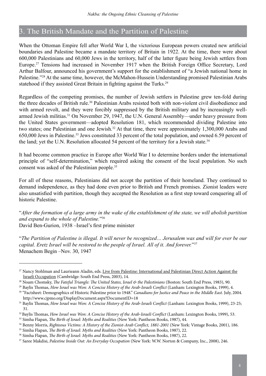# 3. The British Mandate and the Partition of Palestine

When the Ottoman Empire fell after World War I, the victorious European powers created new artificial boundaries and Palestine became a mandate territory of Britain in 1922. At the time, there were about 600,000 Palestinians and 60,000 Jews in the territory, half of the latter figure being Jewish settlers from Europe.27 Tensions had increased in November 1917 when the British Foreign Office Secretary, Lord Arthur Balfour, announced his government's support for the establishment of "a Jewish national home in Palestine."28 At the same time, however, the McMahon-Hussein Understanding promised Palestinian Arabs statehood if they assisted Great Britain in fighting against the Turks.<sup>29</sup>

Regardless of the competing promises, the number of Jewish settlers in Palestine grew ten-fold during the three decades of British rule.<sup>30</sup> Palestinian Arabs resisted both with non-violent civil disobedience and with armed revolt, and they were forcibly suppressed by the British military and by increasingly wellarmed Jewish militias.31 On November 29, 1947, the U.N. General Assembly—under heavy pressure from the United States government—adopted Resolution 181, which recommended dividing Palestine into two states; one Palestinian and one Jewish.<sup>32</sup> At that time, there were approximately 1,300,000 Arabs and 650,000 Jews in Palestine.33 Jews constituted 33 percent of the total population, and owned 6.59 percent of the land; yet the U.N. Resolution allocated 54 percent of the territory for a Jewish state.<sup>34</sup>

It had become common practice in Europe after World War I to determine borders under the international principle of "self-determination," which required asking the consent of the local population. No such consent was asked of the Palestinian people.35

For all of these reasons, Palestinians did not accept the partition of their homeland. They continued to demand independence, as they had done even prior to British and French promises. Zionist leaders were also unsatisfied with partition, though they accepted the Resolution as a first step toward conquering all of historic Palestine.

"*After the formation of a large army in the wake of the establishment of the state, we will abolish partition and expand to the whole of Palestine.*"36

David Ben-Gurion, 1938 –Israel's first prime minister

"*The Partition of Palestine is illegal. It will never be recognized… Jerusalem was and will for ever be our capital. Eretz Israel will be restored to the people of Israel. All of it. And forever.*"37 Menachem Begin –Nov. 30, 1947

<sup>&</sup>lt;sup>27</sup> Nancy Stohlman and Laurieann Aladin, eds. Live from Palestine: International and Palestinian Direct Action Against the Israeli Occupation (Cambridge: South End Press, 2003), 14.

<sup>&</sup>lt;sup>28</sup> Noam Chomsky, *The Fateful Triangle: The United States, Israel & the Palestinians* (Boston: South End Press, 1983), 90.

<sup>&</sup>lt;sup>29</sup> Baylis Thomas, *How Israel was Won: A Concise History of the Arab-Israeli Conflict* (Lanham: Lexington Books, 1999), 4.

<sup>30 &</sup>quot;Factsheet: Demographics of Historic Palestine prior to 1948." *Canadians for Justice and Peace in the Middle East*. July, 2004. http://www.cjpmo.org/DisplayDocument.aspx?DocumentID=18

<sup>31</sup> Baylis Thomas, *How Israel was Won: A Concise History of the Arab-Israeli Conflict* (Lanham: Lexington Books, 1999), 23-25; 31.

<sup>&</sup>lt;sup>32</sup> Baylis Thomas, *How Israel was Won: A Concise History of the Arab-Israeli Conflict* (Lanham: Lexington Books, 1999), 53.

<sup>33</sup> Simha Flapan, *The Birth of Israel: Myths and Realities* (New York: Pantheon Books, 1987), 44.

<sup>&</sup>lt;sup>34</sup> Benny Morris, *Righteous Victims: A History of the Zionist-Arab Conflict, 1881-2001* (New York: Vintage Books, 2001), 186.

<sup>35</sup> Simha Flapan, *The Birth of Israel: Myths and Realities* (New York: Pantheon Books, 1987), 22.

<sup>36</sup> Simha Flapan, *The Birth of Israel: Myths and Realities* (New York: Pantheon Books, 1987), 22.

<sup>37</sup> Saree Makdisi, *Palestine Inside Out: An Everyday Occupation* (New York: W.W. Norton & Company, Inc., 2008), 246.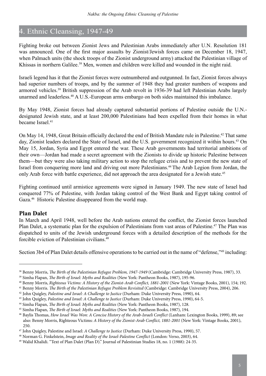# 4. Ethnic Cleansing, 1947-49

Fighting broke out between Zionist Jews and Palestinian Arabs immediately after U.N. Resolution 181 was announced. One of the first major assaults by Zionist/Jewish forces came on December 18, 1947, when Palmach units (the shock troops of the Zionist underground army) attacked the Palestinian village of Khissas in northern Galilee.<sup>38</sup> Men, women and children were killed and wounded in the night raid.

Israeli legend has it that the Zionist forces were outnumbered and outgunned. In fact, Zionist forces always had superior numbers of troops, and by the summer of 1948 they had greater numbers of weapons and armored vehicles.<sup>39</sup> British suppression of the Arab revolt in 1936-39 had left Palestinian Arabs largely unarmed and leaderless.40 A U.S.-European arms embargo on both sides maintained this imbalance.

By May 1948, Zionist forces had already captured substantial portions of Palestine outside the U.N. designated Jewish state, and at least 200,000 Palestinians had been expelled from their homes in what became Israel.<sup>41</sup>

On May 14, 1948, Great Britain officially declared the end of British Mandate rule in Palestine.42 That same day, Zionist leaders declared the State of Israel, and the U.S. government recognized it within hours.<sup>43</sup> On May 15, Jordan, Syria and Egypt entered the war. These Arab governments had territorial ambitions of their own—Jordan had made a secret agreement with the Zionists to divide up historic Palestine between them—but they were also taking military action to stop the refugee crisis and to prevent the new state of Israel from conquering more land and driving out more Palestinians.44 The Arab Legion from Jordan, the only Arab force with battle experience, did not approach the area designated for a Jewish state.45

Fighting continued until armistice agreements were signed in January 1949. The new state of Israel had conquered 77% of Palestine, with Jordan taking control of the West Bank and Egypt taking control of Gaza.46 Historic Palestine disappeared from the world map.

#### **Plan Dalet**

In March and April 1948, well before the Arab nations entered the conflict, the Zionist forces launched Plan Dalet, a systematic plan for the expulsion of Palestinians from vast areas of Palestine.<sup>47</sup> The Plan was dispatched to units of the Jewish underground forces with a detailed description of the methods for the forcible eviction of Palestinian civilians.48

Section 3b4 of Plan Dalet details offensive operations to be carried out in the name of "defense,"<sup>49</sup> including:

<sup>38</sup> Benny Morris, *The Birth of the Palestinian Refugee Problem, 1947-1949* (Cambridge: Cambridge University Press, 1987), 33.

<sup>39</sup> Simha Flapan, *The Birth of Israel: Myths and Realities* (New York: Pantheon Books, 1987), 195-96.

<sup>40</sup> Benny Morris, *Righteous Victims: A History of the Zionist-Arab Conflict, 1881-2001* (New York: Vintage Books, 2001), 154; 192.

<sup>41</sup> Benny Morris. *The Birth of the Palestinian Refugee Problem Revisited* (Cambridge: Cambridge University Press, 2004), 206.

<sup>42</sup> John Quigley, *Palestine and Israel: A Challenge to Justice* (Durham: Duke University Press, 1990), 64.

<sup>43</sup> John Quigley, *Palestine and Israel: A Challenge to Justice* (Durham: Duke University Press, 1990), 64-5.

<sup>44</sup> Simha Flapan, *The Birth of Israel: Myths and Realities* (New York: Pantheon Books, 1987), 128.

<sup>45</sup> Simha Flapan, *The Birth of Israel: Myths and Realities* (New York: Pantheon Books, 1987), 194.

<sup>46</sup> Baylis Thomas, *How Israel Was Won: A Concise History of the Arab-Israeli Conflict* (Lanham: Lexington Books, 1999), 89; see also: Benny Morris, Righteous Victims: *A History of the Zionist-Arab Conflict, 1881-2001* (New York: Vintage Books, 2001), 250.

<sup>47</sup> John Quigley, Palestine and Israel: *A Challenge to Justice* (Durham: Duke University Press, 1990), 57.

<sup>48</sup> Norman G. Finkelstein, *Image and Reality of the Israel-Palestine Conflict* (London: Verso, 2003), 64.

<sup>49</sup> Walid Khalidi. "Text of Plan Dalet (Plan D)." Journal of Palestinian Studies 18, no. 1 (1988): 24-35.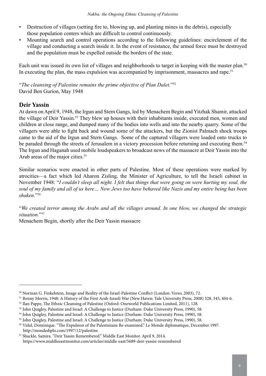- Destruction of villages (setting fire to, blowing up, and planting mines in the debris), especially those population centers which are difficult to control continuously.
- Mounting search and control operations according to the following guidelines: encirclement of the village and conducting a search inside it. In the event of resistance, the armed force must be destroyed and the population must be expelled outside the borders of the state.

Each unit was issued its own list of villages and neighborhoods to target in keeping with the master plan.<sup>50</sup> In executing the plan, the mass expulsion was accompanied by imprisonment, massacres and rape.<sup>51</sup>

"*The cleansing of Palestine remains the prime objective of Plan Dalet.*"52 David Ben Gurion, May 1948

# **Deir Yassin**

At dawn on April 9, 1948, the Irgun and Stern Gangs, led by Menachem Begin and Yitzhak Shamir, attacked the village of Deir Yassin.<sup>53</sup> They blew up houses with their inhabitants inside, executed men, women and children at close range, and dumped many of the bodies into wells and into the nearby quarry. Some of the villagers were able to fight back and wound some of the attackers, but the Zionist Palmach shock troops came to the aid of the Irgun and Stern Gangs. Some of the captured villagers were loaded onto trucks to be paraded through the streets of Jerusalem in a victory procession before returning and executing them.<sup>54</sup> The Irgun and Haganah used mobile loudspeakers to broadcast news of the massacre at Deir Yassin into the Arab areas of the major cities.<sup>55</sup>

Similar scenarios were enacted in other parts of Palestine. Most of these operations were marked by atrocities—a fact which led Aharon Zisling, the Minister of Agriculture, to tell the Israeli cabinet in November 1948: "*I couldn't sleep all night. I felt that things that were going on were hurting my soul, the soul of my family and all of us here… Now Jews too have behaved like Nazis and my entire being has been shaken.*"56

"*We created terror among the Arabs and all the villages around. In one blow, we changed the strategic situation.*"57

Menachem Begin, shortly after the Deir Yassin massacre

<sup>50</sup> Norman G. Finkelstein, Image and Reality of the Israel-Palestine Conflict (London: Verso, 2003), 72.

<sup>51</sup> Benny Morris, 1948: A History of the First Arab-Israeli War (New Haven: Yale University Press, 2008) 328, 345, 404-6.

<sup>52</sup> Ilan Pappe, The Ethnic Cleansing of Palestine (Oxford: Oneworld Publications Limited, 2011), 128.

<sup>53</sup> John Quigley, Palestine and Israel: A Challenge to Justice (Durham: Duke University Press, 1990), 58.

<sup>54</sup> John Quigley, Palestine and Israel: A Challenge to Justice (Durham: Duke University Press, 1990), 58.

<sup>&</sup>lt;sup>55</sup> John Quigley, Palestine and Israel: A Challenge to Justice (Durham: Duke University Press, 1990), 58.

<sup>56</sup> Vidal, Dominique. "The Expulsion of the Palestinians Re-examined." Le Monde diplomatique, December 1997. http://mondediplo.com/1997/12/palestine

<sup>57</sup> Shackle, Samira. "Deir Yassin Remembered." Middle East Monitor. April 9, 2014. https://www.middleeastmonitor.com/articles/middle-east/5689-deir-yassin-remembered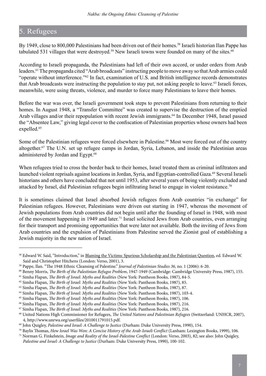# 5. Refugees

By 1949, close to 800,000 Palestinians had been driven out of their homes.<sup>58</sup> Israeli historian Ilan Pappe has tabulated 531 villages that were destroyed.<sup>59</sup> New Israeli towns were founded on many of the sites.<sup>60</sup>

According to Israeli propaganda, the Palestinians had left of their own accord, or under orders from Arab leaders.61 The propaganda cited "Arab broadcasts" instructing people to move away so that Arab armies could "operate without interference."62 In fact, examination of U.S. and British intelligence records demonstrates that Arab broadcasts were instructing the population to stay put, not asking people to leave.<sup>63</sup> Israeli forces, meanwhile, were using threats, violence, and murder to force many Palestinians to leave their homes.

Before the war was over, the Israeli government took steps to prevent Palestinians from returning to their homes. In August 1948, a "Transfer Committee" was created to supervise the destruction of the emptied Arab villages and/or their repopulation with recent Jewish immigrants.<sup>64</sup> In December 1948, Israel passed the "Absentee Law," giving legal cover to the confiscation of Palestinian properties whose owners had been expelled.<sup>65</sup>

Some of the Palestinian refugees were forced elsewhere in Palestine.<sup>66</sup> Most were forced out of the country altogether.67 The U.N. set up refugee camps in Jordan, Syria, Lebanon, and inside the Palestinian areas administered by Jordan and Egypt.<sup>68</sup>

When refugees tried to cross the border back to their homes, Israel treated them as criminal infiltrators and launched violent reprisals against locations in Jordan, Syria, and Egyptian-controlled Gaza.<sup>69</sup> Several Israeli historians and others have concluded that not until 1953, after several years of being violently excluded and attacked by Israel, did Palestinian refugees begin infiltrating Israel to engage in violent resistance.<sup>70</sup>

It is sometimes claimed that Israel absorbed Jewish refugees from Arab countries "in exchange" for Palestinian refugees. However, Palestinians were driven out starting in 1947, whereas the movement of Jewish populations from Arab countries did not begin until after the founding of Israel in 1948, with most of the movement happening in 1949 and later.71 Israel solicited Jews from Arab countries, even arranging for their transport and promising opportunities that were later not available. Both the inviting of Jews from Arab countries and the expulsion of Palestinians from Palestine served the Zionist goal of establishing a Jewish majority in the new nation of Israel.

<sup>&</sup>lt;sup>58</sup> Edward W. Said, "Introduction," in Blaming the Victims: Spurious Scholarship and the Palestinian Question, ed. Edward W. Said and Christopher Hitchens (London: Verso, 2001), 3.

<sup>59</sup> Pappe, Ilan. "The 1948 Ethnic Cleansing of Palestine." *Journal of Palestinian Studies 36,* no. 1 (2006): 6-20.

<sup>60</sup> Benny Morris, *The Birth of the Palestinian Refugee Problem*, 1947-1949 (Cambridge: Cambridge University Press, 1987), 155.

<sup>61</sup> Simha Flapan, *The Birth of Israel: Myths and Realities* (New York: Pantheon Books, 1987), 84-5.

<sup>62</sup> Simha Flapan, *The Birth of Israel: Myths and Realities* (New York: Pantheon Books, 1987), 85.

<sup>63</sup> Simha Flapan, *The Birth of Israel: Myths and Realities* (New York: Pantheon Books, 1987), 87.

<sup>64</sup> Simha Flapan, *The Birth of Israel: Myths and Realities* (New York: Pantheon Books, 1987), 103-4.

<sup>65</sup> Simha Flapan, *The Birth of Israel: Myths and Realities* (New York: Pantheon Books, 1987), 106.

<sup>66</sup> Simha Flapan, *The Birth of Israel: Myths and Realities* (New York: Pantheon Books, 1987), 216.

<sup>67</sup> Simha Flapan, *The Birth of Israel: Myths and Realities* (New York: Pantheon Books, 1987), 216.

<sup>68</sup> United Nations High Commissioner for Refugees, *The United Nations and Palestinian Refugees* (Switzerland: UNHCR, 2007), 4, http://www.unrwa.org/userfiles/2010011791015.pdf.

<sup>69</sup> John Quigley, *Palestine and Israel: A Challenge to Justice* (Durham: Duke University Press, 1990), 154.

<sup>70</sup> Baylis Thomas, *How Israel Was Won: A Concise History of the Arab-Israeli Conflict* (Lanham: Lexington Books, 1999), 106.

<sup>71</sup> Norman G. Finkelstein, *Image and Reality of the Israel-Palestine Conflict* (London: Verso, 2003), 82; see also: John Quigley, *Palestine and Israel: A Challenge to Justice* (Durham: Duke University Press, 1990), 100-102.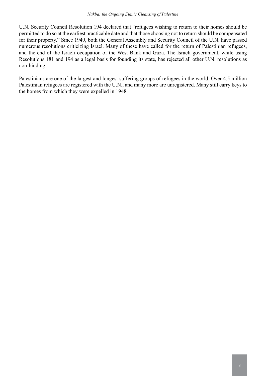U.N. Security Council Resolution 194 declared that "refugees wishing to return to their homes should be permitted to do so at the earliest practicable date and that those choosing not to return should be compensated for their property." Since 1949, both the General Assembly and Security Council of the U.N. have passed numerous resolutions criticizing Israel. Many of these have called for the return of Palestinian refugees, and the end of the Israeli occupation of the West Bank and Gaza. The Israeli government, while using Resolutions 181 and 194 as a legal basis for founding its state, has rejected all other U.N. resolutions as non-binding.

Palestinians are one of the largest and longest suffering groups of refugees in the world. Over 4.5 million Palestinian refugees are registered with the U.N., and many more are unregistered. Many still carry keys to the homes from which they were expelled in 1948.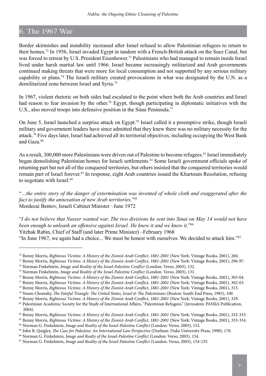# 6. The 1967 War

Border skirmishes and instability increased after Israel refused to allow Palestinian refugees to return to their homes.72 In 1956, Israel invaded Egypt in tandem with a French-British attack on the Suez Canal, but was forced to retreat by U.S. President Eisenhower.73 Palestinians who had managed to remain inside Israel lived under harsh martial law until 1966. Israel became increasingly militarized and Arab governments continued making threats that were more for local consumption and not supported by any serious military capability or plans.74 The Israeli military created provocations in what was designated by the U.N. as a demilitarized zone between Israel and Syria.75

In 1967, violent rhetoric on both sides had escalated to the point where both the Arab countries and Israel had reason to fear invasion by the other.<sup>76</sup> Egypt, though participating in diplomatic initiatives with the U.S., also moved troops into defensive position in the Sinai Peninsula.<sup>77</sup>

On June 5, Israel launched a surprise attack on Egypt.78 Israel called it a preemptive strike, though Israeli military and government leaders have since admitted that they knew there was no military necessity for the attack.<sup>79</sup> Five days later, Israel had achieved all its territorial objectives, including occupying the West Bank and Gaza.80

As a result, 300,000 more Palestinians were driven out of Palestine to become refugees.<sup>81</sup> Israel immediately began demolishing Palestinian homes for Israeli settlements.<sup>82</sup> Some Israeli government officials spoke of returning part but not all of the conquered territories, but others insisted that the conquered territories would remain part of Israel forever.83 In response, eight Arab countries issued the Khartoum Resolution, refusing to negotiate with Israel.<sup>84</sup>

"*…the entire story of the danger of extermination was invented of whole cloth and exaggerated after the fact to justify the annexation of new Arab territories.*"85 Mordecai Bentov, Israeli Cabinet Minister –June 1972

"*I do not believe that Nasser wanted war. The two divisions he sent into Sinai on May 14 would not have been enough to unleash an offensive against Israel. He knew it and we knew it.*"86 Yitzhak Rabin, Chief of Staff (and later Prime Minister) –February 1968 "In June 1967, we again had a choice... We must be honest with ourselves. We decided to attack him."87

73 Benny Morris, *Righteous Victims: A History of the Zionist-Arab Conflict, 1881-2001* (New York: Vintage Books, 2001), 296-97. 74 Norman Finkelstein, *Image and Reality of the Israel-Palestine Conflict* (London: Verso, 2003), 132.

<sup>72</sup> Benny Morris, *Righteous Victims: A History of the Zionist-Arab Conflict, 1881-2001* (New York: Vintage Books, 2001), 260.

<sup>75</sup> Norman Finkelstein, *Image and Reality of the Israel-Palestine Conflict* (London: Verso, 2003), 131.

<sup>76</sup> Benny Morris, *Righteous Victims: A History of the Zionist-Arab Conflict, 1881-2001* (New York: Vintage Books, 2001), 303-04.

<sup>77</sup> Benny Morris, *Righteous Victims: A History of the Zionist-Arab Conflict, 1881-2001* (New York: Vintage Books, 2001), 302-03.

<sup>78</sup> Benny Morris, *Righteous Victims: A History of the Zionist-Arab Conflict, 1881-2001* (New York: Vintage Books, 2001), 313.

<sup>79</sup> Noam Chomsky, *The Fateful Triangle: The United States, Israel & The Palestinians* (Boston: South End Press, 1983), 100.

<sup>80</sup> Benny Morris, *Righteous Victims: A History of the Zionist-Arab Conflict, 1881-2001* (New York: Vintage Books, 2001), 329.

<sup>81</sup> Palestinian Academic Society for the Study of International Affairs, "Palestinian Refugees," (Jerusalem: PASSIA Publication, 2004).

<sup>82</sup> Benny Morris, *Righteous Victims: A History of the Zionist-Arab Conflict*, 1881-2001 (New York: Vintage Books, 2001), 332-333. 83 Benny Morris, *Righteous Victims: A History of the Zionist-Arab Conflict, 1881-2001* (New York: Vintage Books, 2001), 333-334.

<sup>84</sup> Norman G. Finkelstein, *Image and Reality of the Israel-Palestine Conflict* (London: Verso, 2003), 152.

<sup>85</sup> John B. Quigley, *The Case for Palestine: An International Law Perspective* (Durham: Duke University Press, 1990), 170.

<sup>86</sup> Norman G. Finkelstein, *Image and Realty of the Israel-Palestine Conflict* (London: Verso, 2003), 134.

<sup>87</sup> Norman G. Finkelstein, *Image and Reality of the Israel-Palestine Conflict* (London: Verso, 2003), 134-135.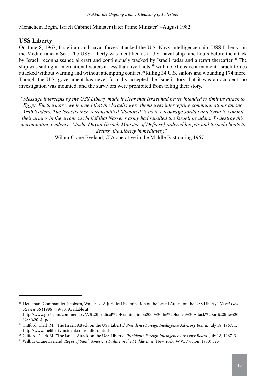Menachem Begin, Israeli Cabinet Minister (later Prime Minister) –August 1982

# **USS Liberty**

On June 8, 1967, Israeli air and naval forces attacked the U.S. Navy intelligence ship, USS Liberty, on the Mediterranean Sea. The USS Liberty was identified as a U.S. naval ship nine hours before the attack by Israeli reconnaissance aircraft and continuously tracked by Israeli radar and aircraft thereafter.<sup>88</sup> The ship was sailing in international waters at less than five knots,<sup>89</sup> with no offensive armament. Israeli forces attacked without warning and without attempting contact,<sup>90</sup> killing 34 U.S. sailors and wounding 174 more. Though the U.S. government has never formally accepted the Israeli story that it was an accident, no investigation was mounted, and the survivors were prohibited from telling their story.

"*Message intercepts by the USS Liberty made it clear that Israel had never intended to limit its attack to Egypt. Furthermore, we learned that the Israelis were themselves intercepting communications among Arab leaders. The Israelis then retransmitted 'doctored' texts to encourage Jordan and Syria to commit their armies in the erroneous belief that Nasser's army had repelled the Israeli invaders. To destroy this incriminating evidence, Moshe Dayan [Israeli Minister of Defense] ordered his jets and torpedo boats to destroy the Liberty immediately.*"91

--Wilbur Crane Eveland, CIA operative in the Middle East during 1967

<sup>88</sup> Lieutenant Commander Jacobsen, Walter L. "A Juridical Examination of the Israeli Attack on the USS Liberty." *Naval Law Review* 36 (1986): 79-80. Available at

http://www.gtr5.com/commentary/A%20Juridical%20Examination%20of%20the%20Israeli%20Attack%20on%20the%20 USS%20L1..pdf

<sup>89</sup> Clifford, Clark M. "The Israeli Attack on the USS Liberty." *President's Foreign Intelligence Advisory Board*. July 18, 1967. 1. http://www.thelibertyincident.com/clifford.html

<sup>90</sup> Clifford, Clark M. "The Israeli Attack on the USS Liberty." *President's Foreign Intelligence Advisory Board*. July 18, 1967. 3.

<sup>91</sup> Wilbur Crane Eveland, *Ropes of Sand: America's Failure in the Middle East* (New York: W.W. Norton, 1980) 325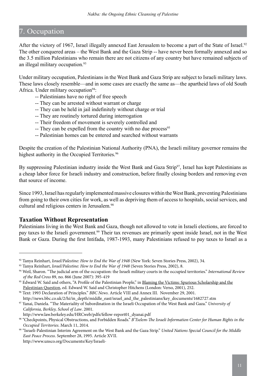# 7. Occupation

After the victory of 1967, Israel illegally annexed East Jerusalem to become a part of the State of Israel.<sup>92</sup> The other conquered areas – the West Bank and the Gaza Strip -- have never been formally annexed and so the 3.5 million Palestinians who remain there are not citizens of any country but have remained subjects of an illegal military occupation.<sup>93</sup>

Under military occupation, Palestinians in the West Bank and Gaza Strip are subject to Israeli military laws. These laws closely resemble—and in some cases are exactly the same as—the apartheid laws of old South Africa. Under military occupation<sup>94</sup>:

- -- Palestinians have no right of free speech
- -- They can be arrested without warrant or charge
- -- They can be held in jail indefinitely without charge or trial
- -- They are routinely tortured during interrogation
- -- Their freedom of movement is severely controlled and
- -- They can be expelled from the country with no due process<sup>95</sup>
- -- Palestinian homes can be entered and searched without warrants

Despite the creation of the Palestinian National Authority (PNA), the Israeli military governor remains the highest authority in the Occupied Territories.<sup>96</sup>

By suppressing Palestinian industry inside the West Bank and Gaza Strip<sup>97</sup>, Israel has kept Palestinians as a cheap labor force for Israeli industry and construction, before finally closing borders and removing even that source of income.

Since 1993, Israel has regularly implemented massive closures within the West Bank, preventing Palestinians from going to their own cities for work, as well as depriving them of access to hospitals, social services, and cultural and religious centers in Jerusalem.<sup>98</sup>

#### **Taxation Without Representation**

Palestinians living in the West Bank and Gaza, though not allowed to vote in Israeli elections, are forced to pay taxes to the Israeli government.<sup>99</sup> Their tax revenues are primarily spent inside Israel, not in the West Bank or Gaza. During the first Intifada, 1987-1993, many Palestinians refused to pay taxes to Israel as a

<sup>92</sup> Tanya Reinhart, *Israel/Palestine: How to End the War of 1948* (New York: Seven Stories Press, 2002), 34.

<sup>93</sup> Tanya Reinhart, *Israel/Palestine: How to End the War of 1948* (Seven Stories Press, 2002), 8.

<sup>94</sup> Weil, Sharon. "The judicial arm of the occupation: the Israeli military courts in the occupied territories." *International Review of the Red Cross* 89, no. 866 (June 2007): 395-419

<sup>95</sup> Edward W. Said and others, "A Profile of the Palestinian People," in Blaming the Victims: Spurious Scholarship and the Palestinian Question, ed. Edward W. Said and Christopher Hitchens (London: Verso, 2001), 252.

<sup>96</sup> Text: 1993 Declaration of Principles." *BBC News*. Article VIII and Annex III. November 29, 2001. http://news.bbc.co.uk/2/hi/in\_depth/middle\_east/israel\_and\_the\_palestinians/key\_documents/1682727.stm

<sup>97</sup> Yanai, Daniela. "The Materiality of Subordination in the Israeli Occupation of the West Bank and Gaza." *University of California, Berkley, School of Law*. 2001.

http://www.law.berkeley.edu/HRCweb/pdfs/fellow-report01\_dyanai.pdf

<sup>98 &</sup>quot;Checkpoints, Physical Obstructions, and Forbidden Roads." *B'Tselem-The Israeli Information Center for Human Rights in the Occupied Territories*. March 11, 2014.

<sup>99 &</sup>quot;Israeli-Palestinian Interim Agreement on the West Bank and the Gaza Strip." *United Nations Special Council for the Middle East Peace Process*. September 28, 1995. Article XVII. http://www.unsco.org/Documents/Key/Israeli-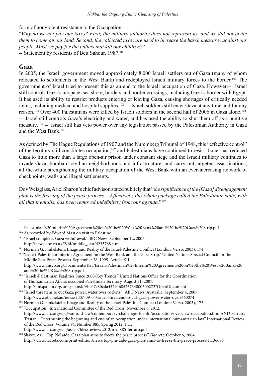form of nonviolent resistance to the Occupation.

"*Why do we not pay our taxes? First, the military authority does not represent us, and we did not invite them to come on our land. Second, the collected taxes are used to increase the harsh measures against our people. Must we pay for the bullets that kill our children?*"

-- Statement by residents of Beit Sahour, 1987.<sup>100</sup>

### **Gaza**

In 2005, the Israeli government moved approximately 8,000 Israeli settlers out of Gaza (many of whom relocated to settlements in the West Bank) and redeployed Israeli military forces to the border.101 The government of Israel tried to present this as an end to the Israeli occupation of Gaza. However:-- Israel still controls Gaza's airspace, sea shore, borders and border crossings, including Gaza's border with Egypt. It has used its ability to restrict products entering or leaving Gaza, causing shortages of critically needed items, including medical and hospital supplies.102 -- Israeli soldiers still enter Gaza at any time and for any reason.<sup>103</sup> Over 400 Palestinians were killed by Israeli soldiers in the second half of 2006 in Gaza alone.<sup>104</sup> -- Israel still controls Gaza's electricity and water, and has used the ability to shut them off as a punitive measure.105 -- Israel still has veto power over any legislation passed by the Palestinian Authority in Gaza and the West Bank<sup>106</sup>

As defined by The Hague Regulations of 1907 and the Nuremberg Tribunal of 1948, this "effective control" of the territory still constitutes occupation,<sup>107</sup> and Palestinians have continued to resist. Israel has reduced Gaza to little more than a large open-air prison under constant siege and the Israeli military continues to invade Gaza, bombard civilian neighborhoods and infrastructure, and carry out targeted assassinations, all the while strengthening the military occupation of the West Bank with an ever-increasing network of checkpoints, walls and illegal settlements.

Dov Weisglass, Ariel Sharon's chief advisor, stated publicly that "t*he significance of the [Gaza] disengagement plan is the freezing of the peace process… Effectively, this whole package called the Palestinian state, with all that it entails, has been removed indefinitely from our agenda.*"108

103 "Israeli-Palestinian Interim Agreement on the West Bank and the Gaza Strip." United Nations Special Council for the Middle East Peace Process. September 28, 1995. Article XII.

 http://www.unsco.org/Documents/Key/Israeli-Palestinian%20Interim%20Agreement%20on%20the%20West%20Bank%20 and%20the%20Gaza%20Strip.pdf

<sup>104</sup> "Israeli-Palestinian Fatalities Since 2000-Key Trends." United Nations Office for the Coordination of Humanitarian Affairs occupied Palestinian Territory. August 31, 2007. http://unispal.un.org/unispal.nsf/0/be07c80cda4579468525734800500272?OpenDocument

<sup>105</sup> "Israel threatens to cut Gaza power, water over rockets." |ABC News, Australia. September 4, 2007.

<sup>106</sup> Norman G. Finkelstein, Image and Reality of the Israel-Palestine Conflict (London: Verso, 2003), 175.

<sup>107</sup> "Occupation." International Committee of the Red Cross. November 6, 2012. http://www.icrc.org/eng/war-and-law/contemporary-challenges-for-ihl/occupation/overview-occupation.htm AND Ferraro, Tristan. "Determining the beginning and end of an occupation under international humanitarian law." International Review of the Red Cross. Volume 94, Number 885. Spring 2012. 141.

Palestinian%20Interim%20Agreement%20on%20the%20West%20Bank%20and%20the%20Gaza%20Strip.pdf 100 As recorded by Edward Mast on visit to Palestine

<sup>&</sup>lt;sup>101</sup> "Israel completes Gaza withdrawal." BBC News. September 12, 2005.

http://news.bbc.co.uk/2/hi/middle\_east/4235768.stm

<sup>&</sup>lt;sup>102</sup> Norman G. Finkelstein, Image and Reality of the Israel-Palestine Conflict (London: Verso, 2003), 174.

http://www.abc.net.au/news/2007-09-04/israel-threatens-to-cut-gaza-power-water-over/660074

http://www.icrc.org/eng/assets/files/review/2012/irrc-885-ferraro.pdf

<sup>108</sup> Shavit, Ari. "Top PM aide: Gaza plan aims to freeze the peace process." *Haaretz*. October 6, 2004.

http://www.haaretz.com/print-edition/news/top-pm-aide-gaza-plan-aims-to-freeze-the-peace-process-1.136686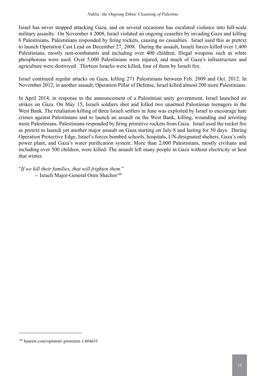Israel has never stopped attacking Gaza, and on several occasions has escalated violence into full-scale military assaults. On November 4 2008, Israel violated an ongoing ceasefire by invading Gaza and killing 6 Palestinians. Palestinians responded by firing rockets, causing no casualties. Israel used this as pretext to launch Operation Cast Lead on December 27, 2008. During the assault, Israeli forces killed over 1,400 Palestinians, mostly non-combatants and including over 400 children. Illegal weapons such as white phosphorous were used. Over 5,000 Palestinians were injured, and much of Gaza's infrastructure and agriculture were destroyed. Thirteen Israelis were killed, four of them by Israeli fire.

Israel continued regular attacks on Gaza, killing 271 Palestinians between Feb. 2009 and Oct. 2012. In November 2012, in another assault, Operation Pillar of Defense, Israel killed almost 200 more Palestinians.

In April 2014, in response to the announcement of a Palestinian unity government, Israel launched air strikes on Gaza. On May 15, Israeli soldiers shot and killed two unarmed Palestinian teenagers in the West Bank. The retaliation killing of three Israeli settlers in June was exploited by Israel to encourage hate crimes against Palestinians and to launch an assault on the West Bank, killing, wounding and arresting more Palestinians. Palestinians responded by firing primitive rockets from Gaza. Israel used the rocket fire as pretext to launch yet another major assault on Gaza starting on July 8 and lasting for 50 days. During Operation Protective Edge, Israel's forces bombed schools, hospitals, UN-designated shelters, Gaza's only power plant, and Gaza's water purification system. More than 2,000 Palestinians, mostly civilians and including over 500 children, were killed. The assault left many people in Gaza without electricity or heat that winter.

"*If we kill their families, that will frighten them.*" -- Israeli Major-General Oren Shachor<sup>109</sup>

<sup>109</sup> haaretz.com/opinion/.premium-1.604653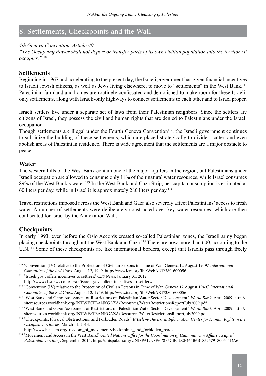# 8. Settlements, Checkpoints and the Wall

#### *4th Geneva Convention, Article 49:*

*"The Occupying Power shall not deport or transfer parts of its own civilian population into the territory it occupies."*<sup>110</sup>

#### **Settlements**

Beginning in 1967 and accelerating to the present day, the Israeli government has given financial incentives to Israeli Jewish citizens, as well as Jews living elsewhere, to move to "settlements" in the West Bank.<sup>111</sup> Palestinian farmland and homes are routinely confiscated and demolished to make room for these Israelionly settlements, along with Israeli-only highways to connect settlements to each other and to Israel proper.

Israeli settlers live under a separate set of laws from their Palestinian neighbors. Since the settlers are citizens of Israel, they possess the civil and human rights that are denied to Palestinians under the Israeli occupation.

Though settlements are illegal under the Fourth Geneva Convention<sup>112</sup>, the Israeli government continues to subsidize the building of these settlements, which are placed strategically to divide, scatter, and even abolish areas of Palestinian residence. There is wide agreement that the settlements are a major obstacle to peace.

#### **Water**

The western hills of the West Bank contain one of the major aquifers in the region, but Palestinians under Israeli occupation are allowed to consume only 11% of their natural water resources, while Israel consumes 89% of the West Bank's water.<sup>113</sup> In the West Bank and Gaza Strip, per capita consumption is estimated at 60 liters per day, while in Israel it is approximately 280 liters per day.114

Travel restrictions imposed across the West Bank and Gaza also severely affect Palestinians' access to fresh water. A number of settlements were deliberately constructed over key water resources, which are then confiscated for Israel by the Annexation Wall.

#### **Checkpoints**

In early 1993, even before the Oslo Accords created so-called Palestinian zones, the Israeli army began placing checkpoints throughout the West Bank and Gaza.115 There are now more than 600, according to the U.N.116 Some of these checkpoints are like international borders, except that Israelis pass through freely

<sup>110 &</sup>quot;Convention (IV) relative to the Protection of Civilian Persons in Time of War. Geneva,12 August 1949." *International Committee of the Red Cross*. August 12, 1949. http://www.icrc.org/ihl/WebART/380-600056

<sup>111 &</sup>quot;Israeli gov't offers incentives to settlers." *CBS News*. January 31, 2012.

http://www.cbsnews.com/news/israeli-govt-offers-incentives-to-settlers/

<sup>112 &</sup>quot;Convention (IV) relative to the Protection of Civilian Persons in Time of War. Geneva,12 August 1949." *International Committee of the Red Cross*. August 12, 1949. http://www.icrc.org/ihl/WebART/380-600056

<sup>113 &</sup>quot;West Bank and Gaza: Assessment of Restrictions on Palestinian Water Sector Development." *World Bank*. April 2009. http:// siteresources.worldbank.org/INTWESTBANKGAZA/Resources/WaterRestrictionsReportJuly2009.pdf

<sup>114 &</sup>quot;West Bank and Gaza: Assessment of Restrictions on Palestinian Water Sector Development." *World Bank*. April 2009. http:// siteresources.worldbank.org/INTWESTBANKGAZA/Resources/WaterRestrictionsReportJuly2009.pdf

<sup>115 &</sup>quot;Checkpoints, Physical Obstructions, and Forbidden Roads." *B'Tselem-The Israeli Information Center for Human Rights in the Occupied Territories*. March 11, 2014.

http://www.btselem.org/freedom\_of\_movement/checkpoints\_and\_forbidden\_roads

<sup>116 &</sup>quot;Movement and Access in the West Bank." *United Nations Office for the Coordination of Humanitarian Affairs occupied Palestinian Territory*. September 2011. http://unispal.un.org/UNISPAL.NSF/0/8F5CBCD2F464B6B18525791800541DA6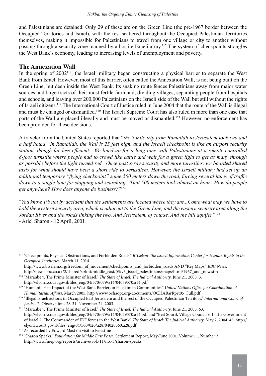and Palestinians are detained. Only 29 of these are on the Green Line (the pre-1967 border between the Occupied Territories and Israel), with the rest scattered throughout the Occupied Palestinian Territories themselves, making it impossible for Palestinians to travel from one village or city to another without passing through a security zone manned by a hostile Israeli army.117 The system of checkpoints strangles the West Bank's economy, leading to increasing levels of unemployment and poverty.

#### **The Annexation Wall**

In the spring of 2002<sup>118</sup>, the Israeli military began constructing a physical barrier to separate the West Bank from Israel. However, most of this barrier, often called the Annexation Wall, is not being built on the Green Line, but deep inside the West Bank. Its snaking route fences Palestinians away from major water sources and large tracts of their most fertile farmland, dividing villages, separating people from hospitals and schools, and leaving over 200,000 Palestinians on the Israeli side of the Wall but still without the rights of Israeli citizens.119 The International Court of Justice ruled in June 2004 that the route of the Wall is illegal and must be changed or dismantled.120 The Israeli Supreme Court has also ruled in more than one case that parts of the Wall are placed illegally and must be moved or dismantled.<sup>121</sup> However, no enforcement has been provided for these decisions.

A traveler from the United States reported that "*the 8 mile trip from Ramallah to Jerusalem took two and a half hours. In Ramallah, the Wall is 25 feet high, and the Israeli checkpoint is like an airport security station, though far less efficient. We lined up for a long time with Palestinians at a remote-controlled 8-foot turnstile where people had to crowd like cattle and wait for a green light to get as many through as possible before the light turned red. Once past x-ray security and more turnstiles, we boarded shared taxis for what should have been a short ride to Jerusalem. However, the Israeli military had set up an additional temporary "flying checkpoint" some 500 meters down the road, forcing several lanes of traffic down to a single lane for stopping and searching. That 500 meters took almost an hour. How do people get anywhere? How does anyone do business?*"122

"*You know, it's not by accident that the settlements are located where they are...Come what may, we have to hold the western security area, which is adjacent to the Green Line, and the eastern security area along the Jordan River and the roads linking the two. And Jerusalem, of course. And the hill aquifer.*"123 - Ariel Sharon - 12 April, 2001

<sup>117 &</sup>quot;Checkpoints, Physical Obstructions, and Forbidden Roads." *B'Tselem-The Israeli Information Center for Human Rights in the Occupied Territories*. March 11, 2014.

http://www.btselem.org/freedom\_of\_movement/checkpoints\_and\_forbidden\_roads AND "Key Maps." *BBC News*. http://news.bbc.co.uk/2/shared/spl/hi/middle\_east/03/v3\_israel\_palestinians/maps/html/1967\_and\_now.stm

<sup>118 &</sup>quot;Mara'abe v. The Prime Minister of Israel." *The State of Israel: The Judicial Authority*. June 21, 2005. 3.

http://elyon1.court.gov.il/files\_eng/04/570/079/a14/04079570.a14.pdf

<sup>119 &</sup>quot;Humanitarian Impact of the West Bank Barrier on Palestinian Communities." *United Nations Office for Coordination of Humanitarian Affairs*. March 2005. http://www.ochaopt.org/documents/OCHABarRprt05\_Full.pdf

<sup>120 &</sup>quot;Illegal Israeli actions in Occupied East Jerusalem and the rest of the Occupied Palestinian Territory." *International Court of* 

*Justice.* 7, Observations 28-31. November 24, 2003. 121 "Mara'abe v. The Prime Minister of Israel." *The State of Israel: The Judicial Authority*. June 21, 2005. 63. http://elyon1.court.gov.il/files\_eng/04/570/079/a14/04079570.a14.pdf and "Beit Sourik Village Council v. 1. The Government of Israel 2. The Commander of IDF forces in the West Bank" *The State of Israel: The Judicial Authority*. May 2, 2004. 45. http:// elyon1.court.gov.il/files\_eng/04/560/020/a28/04020560.a28.pdf

<sup>&</sup>lt;sup>122</sup> As recorded by Edward Mast on visit to Palestine

<sup>123 &</sup>quot;Sharon Speaks." *Foundation for Middle East Peace*. Settlement Report, May-June 2001. Volume 11, Number 3. http://www.fmep.org/reports/archive/vol.-11/no.-3/sharon-speaks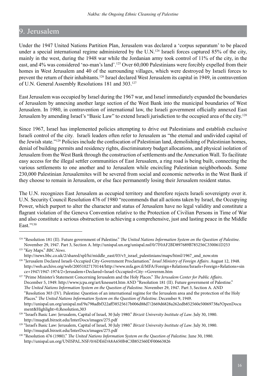# 9. Jerusalem

Under the 1947 United Nations Partition Plan, Jerusalem was declared a 'corpus separatum' to be placed under a special international regime administered by the U.N.<sup>124</sup> Israeli forces captured 85% of the city, mainly in the west, during the 1948 war while the Jordanian army took control of 11% of the city, in the east, and 4% was considered 'no-man's land'.125 Over 60,000 Palestinians were forcibly expelled from their homes in West Jerusalem and 40 of the surrounding villages, which were destroyed by Israeli forces to prevent the return of their inhabitants.126 Israel declared West Jerusalem its capital in 1949, in contravention of U.N. General Assembly Resolutions 181 and 303.127

East Jerusalem was occupied by Israel during the 1967 war, and Israel immediately expanded the boundaries of Jerusalem by annexing another large section of the West Bank into the municipal boundaries of West Jerusalem. In 1980, in contravention of international law, the Israeli government officially annexed East Jerusalem by amending Israel's "Basic Law" to extend Israeli jurisdiction to the occupied area of the city.128

Since 1967, Israel has implemented policies attempting to drive out Palestinians and establish exclusive Israeli control of the city. Israeli leaders often refer to Jerusalem as "the eternal and undivided capital of the Jewish state."129 Policies include the confiscation of Palestinian land, demolishing of Palestinian homes, denial of building permits and residency rights, discriminatory budget allocations, and physical isolation of Jerusalem from the West Bank through the construction of settlements and the Annexation Wall. To facilitate easy access for the illegal settler communities of East Jerusalem, a ring road is being built, connecting the various settlements to one another and to Jerusalem while encircling Palestinian neighborhoods. Some 230,000 Palestinian Jerusalemites will be severed from social and economic networks in the West Bank if they choose to remain in Jerusalem, or else face permanently losing their Jerusalem resident status.

The U.N. recognizes East Jerusalem as occupied territory and therefore rejects Israeli sovereignty over it. U.N. Security Council Resolution 476 of 1980 "recommends that all actions taken by Israel, the Occupying Power, which purport to alter the character and status of Jerusalem have no legal validity and constitute a flagrant violation of the Geneva Convention relative to the Protection of Civilian Persons in Time of War and also constitute a serious obstruction to achieving a comprehensive, just and lasting peace in the Middle East."130

<sup>&</sup>lt;sup>124</sup> "Resolution 181 (II). Future government of Palestine." *The United Nations Information System on the Question of Palestine*. November 29, 1947. Part 3, Section A. http://unispal.un.org/unispal.nsf/0/7F0AF2BD897689B785256C330061D253 125 "Key Maps." *BBC News*.

http://news.bbc.co.uk/2/shared/spl/hi/middle\_east/03/v3\_israel\_palestinians/maps/html/1967\_and\_now.stm

<sup>126 &</sup>quot;Jerusalem Declared Israeli-Occupied City-Government Proclamation." *Israel Ministry of Foreign Affairs*. August 12, 1948. http://web.archive.org/web/20051027170144/http://www.mfa.gov.il/MFA/Foreign+Relations/Israels+Foreign+Relations+sin ce+1947/1947-1974/2+Jerusalem+Declared+Israel-Occupied+City-+Governm.htm

<sup>127 &</sup>quot;Prime Minister's Statement Concerning Jerusalem and the Holy Places." *The Jerusalem Center for Public Affairs*. December 5, 1949. http://www.jcpa.org/art/knesset4.htm AND "Resolution 181 (II). Future government of Palestine." *The United Nations Information System on the Question of Palestine*. November 29, 1947. Part 3, Section A. AND "Resolution 303 (IV). Palestine: Question of an international regime for the Jerusalem area and the protection of the Holy Places." *The United Nations Information System on the Question of Palestine*. December 9, 1949. http://unispal.un.org/unispal.nsf/9a798adbf322aff38525617b006d88d7/2669d6828a262edb852560e50069738a?OpenDocu ment&Highlight=0,Resolution,303

<sup>128 &</sup>quot;Israel's Basic Law: Jerusalem, Capital of Israel, 30 July 1980." *Birzeit University Institute of Law*. July 30, 1980. http://muqtafi.birzeit.edu/InterDocs/images/275.pdf

<sup>129 &</sup>quot;Israel's Basic Law: Jerusalem, Capital of Israel, 30 July 1980." *Birzeit University Institute of Law*. July 30, 1980. http://muqtafi.birzeit.edu/InterDocs/images/275.pdf

<sup>130 &</sup>quot;Resolution 476 (1980)." *The United Nations Information System on the Question of Palestine*. June 30, 1980. http://unispal.un.org/UNISPAL.NSF/0/6DE6DA8A650B4C3B852560DF00663826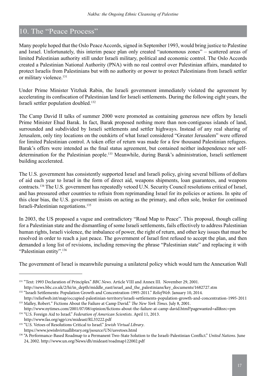# 10. The "Peace Process"

Many people hoped that the Oslo Peace Accords, signed in September 1993, would bring justice to Palestine and Israel. Unfortunately, this interim peace plan only created "autonomous zones" – scattered areas of limited Palestinian authority still under Israeli military, political and economic control. The Oslo Accords created a Palestinian National Authority (PNA) with no real control over Palestinian affairs, mandated to protect Israelis from Palestinians but with no authority or power to protect Palestinians from Israeli settler or military violence.<sup>131</sup>

Under Prime Minister Yitzhak Rabin, the Israeli government immediately violated the agreement by accelerating its confiscation of Palestinian land for Israeli settlements. During the following eight years, the Israeli settler population doubled.132

The Camp David II talks of summer 2000 were promoted as containing generous new offers by Israeli Prime Minister Ehud Barak. In fact, Barak proposed nothing more than non-contiguous islands of land, surrounded and subdivided by Israeli settlements and settler highways. Instead of any real sharing of Jerusalem, only tiny locations on the outskirts of what Israel considered "Greater Jerusalem" were offered for limited Palestinian control. A token offer of return was made for a few thousand Palestinian refugees. Barak's offers were intended as the final status agreement, but contained neither independence nor selfdetermination for the Palestinian people.<sup>133</sup> Meanwhile, during Barak's administration, Israeli settlement building accelerated.

The U.S. government has consistently supported Israel and Israeli policy, giving several billions of dollars of aid each year to Israel in the form of direct aid, weapons shipments, loan guarantees, and weapons contracts.134 The U.S. government has repeatedly vetoed U.N. Security Council resolutions critical of Israel, and has pressured other countries to refrain from reprimanding Israel for its policies or actions. In spite of this clear bias, the U.S. government insists on acting as the primary, and often sole, broker for continued Israeli-Palestinian negotiations.135

In 2003, the US proposed a vague and contradictory "Road Map to Peace". This proposal, though calling for a Palestinian state and the dismantling of some Israeli settlements, fails effectively to address Palestinian human rights, Israeli violence, the imbalance of power, the right of return, and other key issues that must be resolved in order to reach a just peace. The government of Israel first refused to accept the plan, and then demanded a long list of revisions, including removing the phrase "Palestinian state" and replacing it with "Palestinian entity".136

The government of Israel is meanwhile pursuing a unilateral policy which would turn the Annexation Wall

<sup>131 &</sup>quot;Text: 1993 Declaration of Principles." *BBC News*. Article VIII and Annex III. November 29, 2001. http://news.bbc.co.uk/2/hi/in\_depth/middle\_east/israel\_and\_the\_palestinians/key\_documents/1682727.stm

<sup>132 &</sup>quot;Israeli Settlements: Population Growth and Concentration-1995-2011." *ReliefWeb*. January 10, 2014.

http://reliefweb.int/map/occupied-palestinian-territory/israeli-settlements-population-growth-and-concentration-1995-2011 133 Malley, Robert." Fictions About the Failure at Camp David." *The New York Times*. July 8, 2001.

http://www.nytimes.com/2001/07/08/opinion/fictions-about-the-failure-at-camp-david.html?pagewanted=all&src=pm 134 "U.S. Foreign Aid to Israel." *Federation of American Scientists*. April 11, 2013.

http://www.fas.org/sgp/crs/mideast/RL33222.pdf

<sup>135 &</sup>quot;U.S. Vetoes of Resolutions Critical to Israel." *Jewish Virtual Library*. https://www.jewishvirtuallibrary.org/jsource/UN/usvetoes.html

<sup>136 &</sup>quot;A Performance-Based Roadmap to a Permanent Two-State Solution to the Israeli-Palestinian Conflict." *United Nations*. June 24, 2002. http://www.un.org/News/dh/mideast/roadmap122002.pdf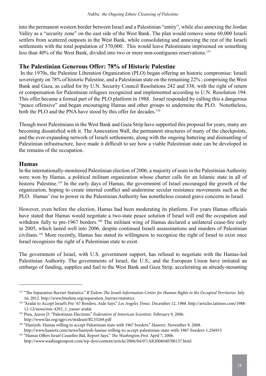into the permanent western border between Israel and a Palestinian "entity", while also annexing the Jordan Valley as a "security zone" on the east side of the West Bank. The plan would remove some 60,000 Israeli settlers from scattered outposts in the West Bank, while consolidating and annexing the rest of the Israeli settlements with the total population of 370,000. This would leave Palestinians imprisoned on something less than 40% of the West Bank, divided into two or more non-contiguous reservations.<sup>137</sup>

## **The Palestinian Generous Offer: 78% of Historic Palestine**

 In the 1970s, the Palestine Liberation Organization (PLO) began offering an historic compromise: Israeli sovereignty on 78% of historic Palestine, and a Palestinian state on the remaining 22% , comprising the West Bank and Gaza, as called for by U.N. Security Council Resolutions 242 and 338, with the right of return or compensation for Palestinian refugees recognized and implemented according to U.N. Resolution 194. This offer became a formal part of the PLO platform in 1988. Israel responded by calling this a dangerous "peace offensive" and began encouraging Hamas and other groups to undermine the PLO. Nonetheless, both the PLO and the PNA have stood by this offer for decades.<sup>138</sup>

Though most Palestinians in the West Bank and Gaza Strip have supported this proposal for years, many are becoming dissatisfied with it. The Annexation Wall, the permanent structures of many of the checkpoints, and the ever-expanding network of Israeli settlements, along with the ongoing battering and dismantling of Palestinian infrastructure, have made it difficult to see how a viable Palestinian state can be developed in the remains of the occupation.

#### **Hamas**

In the internationally-monitored Palestinian election of 2006, a majority of seats in the Palestinian Authority were won by Hamas, a political militant organization whose charter calls for an Islamic state in all of historic Palestine.<sup>139</sup> In the early days of Hamas, the government of Israel encouraged the growth of the organization, hoping to create internal conflict and undermine secular resistance movements such as the PLO. Hamas' rise to power in the Palestinian Authority has nonetheless created grave concerns in Israel.

However, even before the election, Hamas had been moderating its platform. For years Hamas officials have stated that Hamas would negotiate a two-state peace solution if Israel will end the occupation and withdraw fully to pre-1967 borders.<sup>140</sup> The militant wing of Hamas declared a unilateral cease-fire early in 2005, which lasted well into 2006, despite continued Israeli assassinations and murders of Palestinian civilians.141 More recently, Hamas has stated its willingness to recognize the right of Israel to exist once Israel recognizes the right of a Palestinian state to exist.

The government of Israel, with U.S. government support, has refused to negotiate with the Hamas-led Palestinian Authority. The governments of Israel, the U.S., and the European Union have initiated an embargo of funding, supplies and fuel to the West Bank and Gaza Strip, accelerating an already-mounting

<sup>137 &</sup>quot;The Separation Barrier-Statistics." *B'Tselem-The Israeli Information Center for Human Rights in the Occupied Territories*. July 16, 2012. http://www.btselem.org/separation\_barrier/statistics

<sup>138 &</sup>quot;Arafat to Accept Israel's Pre-'67 Borders, Aide Says." *Los Angeles Times.* December 12, 1988. http://articles.latimes.com/1988- 12-12/news/mn-4292\_1\_yasser-arafat

<sup>139</sup> Pina, Aaron D. "Palestinian Elections." *Federation of American Scientists*. February 9, 2006. http://www.fas.org/sgp/crs/mideast/RL33269.pdf

<sup>140 &</sup>quot;Haniyeh: Hamas willing to accept Palestinian state with 1967 borders." *Haaretz*. November 9, 2008. http://www.haaretz.com/news/haniyeh-hamas-willing-to-accept-palestinian-state-with-1967-borders-1.256915

<sup>141 &</sup>quot;Hamas Offers Israel Ceasefire Bid, Report Says." *The Washington Post.* April 7, 2006. http://www.washingtonpost.com/wp-dyn/content/article/2006/04/07/AR2006040700137.html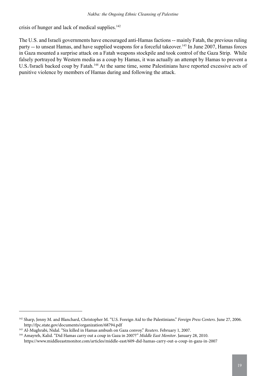crisis of hunger and lack of medical supplies.<sup>142</sup>

The U.S. and Israeli governments have encouraged anti-Hamas factions -- mainly Fatah, the previous ruling party -- to unseat Hamas, and have supplied weapons for a forceful takeover.<sup>143</sup> In June 2007, Hamas forces in Gaza mounted a surprise attack on a Fatah weapons stockpile and took control of the Gaza Strip. While falsely portrayed by Western media as a coup by Hamas, it was actually an attempt by Hamas to prevent a U.S./Israeli backed coup by Fatah.144 At the same time, some Palestinians have reported excessive acts of punitive violence by members of Hamas during and following the attack.

<sup>142</sup> Sharp, Jenny M. and Blanchard, Christopher M. "U.S. Foreign Aid to the Palestinians." *Foreign Press Centers*. June 27, 2006. http://fpc.state.gov/documents/organization/68794.pdf

<sup>143</sup> Al-Mughrabi, Nidal. "Six killed in Hamas ambush on Gaza convoy." *Reuters*. February 1, 2007.

<sup>144</sup> Amayreh, Kalid. "Did Hamas carry out a coup in Gaza in 2007?" *Middle East Monitor*. January 28, 2010. https://www.middleeastmonitor.com/articles/middle-east/609-did-hamas-carry-out-a-coup-in-gaza-in-2007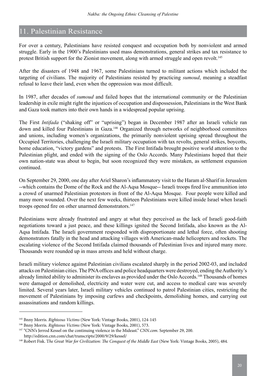# 11. Palestinian Resistance

For over a century, Palestinians have resisted conquest and occupation both by nonviolent and armed struggle. Early in the 1900's Palestinians used mass demonstrations, general strikes and tax resistance to protest British support for the Zionist movement, along with armed struggle and open revolt.<sup>145</sup>

After the disasters of 1948 and 1967, some Palestinians turned to militant actions which included the targeting of civilians. The majority of Palestinians resisted by practicing *sumoud*, meaning a steadfast refusal to leave their land, even when the oppression was most difficult.

In 1987, after decades of *sumoud* and failed hopes that the international community or the Palestinian leadership in exile might right the injustices of occupation and dispossession, Palestinians in the West Bank and Gaza took matters into their own hands in a widespread popular uprising.

The First *Intifada* ("shaking off" or "uprising") began in December 1987 after an Israeli vehicle ran down and killed four Palestinians in Gaza.146 Organized through networks of neighborhood committees and unions, including women's organizations, the primarily nonviolent uprising spread throughout the Occupied Territories, challenging the Israeli military occupation with tax revolts, general strikes, boycotts, home education, "victory gardens" and protests. The First Intifada brought positive world attention to the Palestinian plight, and ended with the signing of the Oslo Accords. Many Palestinians hoped that their own nation-state was about to begin, but soon recognized they were mistaken, as settlement expansion continued.

On September 29, 2000, one day after Ariel Sharon's inflammatory visit to the Haram al-Sharif in Jerusalem --which contains the Dome of the Rock and the Al-Aqsa Mosque-- Israeli troops fired live ammunition into a crowd of unarmed Palestinian protestors in front of the Al-Aqsa Mosque. Four people were killed and many more wounded. Over the next few weeks, thirteen Palestinians were killed inside Israel when Israeli troops opened fire on other unarmed demonstrators.<sup>147</sup>

Palestinians were already frustrated and angry at what they perceived as the lack of Israeli good-faith negotiations toward a just peace, and these killings ignited the Second Intifada, also known as the Al-Aqsa Intifada. The Israeli government responded with disproportionate and lethal force, often shooting demonstrators fatally in the head and attacking villages with American-made helicopters and rockets. The escalating violence of the Second Intifada claimed thousands of Palestinian lives and injured many more. Thousands were rounded up in mass arrests and held without charge.

Israeli military violence against Palestinian civilians escalated sharply in the period 2002-03, and included attacks on Palestinian cities. The PNA offices and police headquarters were destroyed, ending the Authority's already limited ability to administer its enclaves as provided under the Oslo Accords.<sup>148</sup> Thousands of homes were damaged or demolished, electricity and water were cut, and access to medical care was severely limited. Several years later, Israeli military vehicles continued to patrol Palestinian cities, restricting the movement of Palestinians by imposing curfews and checkpoints, demolishing homes, and carrying out assassinations and random killings.

<sup>145</sup> Bnny Morris. *Righteous Victims* (New York: Vintage Books, 2001), 124-145

<sup>146</sup> Bnny Morris. *Righteous Victims* (New York: Vintage Books, 2001), 573.

<sup>147 &</sup>quot;CNN's Jerrod Kessel on the continuing violence in the Mideast." *CNN.com*. September 29, 200. http://edition.cnn.com/chat/transcripts/2000/9/29/kessel/

<sup>148</sup> Robert Fisk. T*he Great War for Civilization: The Conquest of the Middle East* (New York: Vintage Books, 2005), 484.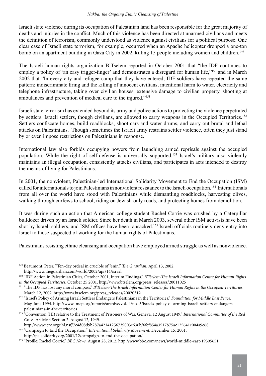Israeli state violence during its occupation of Palestinian land has been responsible for the great majority of deaths and injuries in the conflict. Much of this violence has been directed at unarmed civilians and meets the definition of terrorism, commonly understood as violence against civilians for a political purpose. One clear case of Israeli state terrorism, for example, occurred when an Apache helicopter dropped a one-ton bomb on an apartment building in Gaza City in 2002, killing 15 people including women and children.<sup>149</sup>

The Israeli human rights organization B'Tselem reported in October 2001 that "the IDF continues to employ a policy of 'an easy trigger-finger' and demonstrates a disregard for human life,"<sup>150</sup> and in March 2002 that "In every city and refugee camp that they have entered, IDF soldiers have repeated the same pattern: indiscriminate firing and the killing of innocent civilians, intentional harm to water, electricity and telephone infrastructure, taking over civilian houses, extensive damage to civilian property, shooting at ambulances and prevention of medical care to the injured."151

Israeli state terrorism has extended beyond its army and police actions to protecting the violence perpetrated by settlers. Israeli settlers, though civilians, are allowed to carry weapons in the Occupied Territories.<sup>152</sup> Settlers confiscate homes, build roadblocks, shoot cars and water drums, and carry out brutal and lethal attacks on Palestinians. Though sometimes the Israeli army restrains settler violence, often they just stand by or even impose restrictions on Palestinians in response.

International law also forbids occupying powers from launching armed reprisals against the occupied population. While the right of self-defense is universally supported,153 Israel's military also violently maintains an illegal occupation, consistently attacks civilians, and participates in acts intended to destroy the means of living for Palestinians.

In 2001, the nonviolent, Palestinian-led International Solidarity Movement to End the Occupation (ISM) called for internationals to join Palestinians in nonviolent resistance to the Israeli occupation.154 Internationals from all over the world have stood with Palestinians while dismantling roadblocks, harvesting olives, walking through curfews to school, riding on Jewish-only roads, and protecting homes from demolition.

It was during such an action that American college student Rachel Corrie was crushed by a Caterpillar bulldozer driven by an Israeli soldier. Since her death in March 2003, several other ISM activists have been shot by Israeli soldiers, and ISM offices have been ransacked.<sup>155</sup> Israeli officials routinely deny entry into Israel to those suspected of working for the human rights of Palestinians.

Palestinians resisting ethnic cleansing and occupation have employed armed struggle as well as nonviolence.

<sup>149</sup> Beaumont, Peter. "Ten-day ordeal in crucible of Jenin." *The Guardian*. April 13, 2002. http://www.theguardian.com/world/2002/apr/14/israel

<sup>150 &</sup>quot;IDF Action in Palestinian Cities, October 2001, Interim Findings." *B'Tselem-The Israeli Information Center for Human Rights in the Occupied Territories*. October 25 2001. http://www.btselem.org/press\_releases/20011025

<sup>151 &</sup>quot;The IDF has lost any moral compass." *B'Tselem-The Israeli Information Center for Human Rights in the Occupied Territories*. March 12, 2002. http://www.btselem.org/press\_releases/20020312

<sup>152 &</sup>quot;Israel's Policy of Arming Israeli Settlers Endangers Palestinians in the Territories." *Foundation for Middle East Peace*. May-June 1994. http://www.fmep.org/reports/archive/vol.-4/no.-3/israels-policy-of-arming-israeli-settlers-endangers palestinians-in-the-territories

<sup>153 &</sup>quot;Convention (III) relative to the Treatment of Prisoners of War. Geneva, 12 August 1949." *International Committee of the Red Cross*. Article 4 Section 2. August 12, 1949.

http://www.icrc.org/ihl.nsf/7c4d08d9b287a42141256739003e636b/6fef854a3517b75ac125641e004a9e68

<sup>154 &</sup>quot;Campaign to End the Occupation." *International Solidarity Movement*. December 15, 2001. http://palsolidarity.org/2001/12/campaign-to-end-the-occupation/

<sup>155 &</sup>quot;Profile: Rachel Corrie." *BBC News*. August 28, 2012. http://www.bbc.com/news/world-middle-east-19395651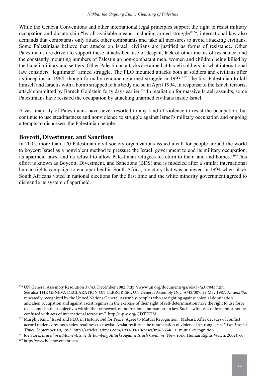While the Geneva Conventions and other international legal principles support the right to resist military occupation and dictatorship "by all available means, including armed struggle"156, international law also demands that combatants only attack other combatants and take all measures to avoid attacking civilians. Some Palestinians believe that attacks on Israeli civilians are justified as forms of resistance. Other Palestinians are driven to support these attacks because of despair, lack of other means of resistance, and the constantly mounting numbers of Palestinian non-combatant men, women and children being killed by the Israeli military and settlers. Other Palestinian attacks are aimed at Israeli soldiers, in what international law considers "legitimate" armed struggle. The PLO mounted attacks both at soldiers and civilians after its inception in 1964, though formally renouncing armed struggle in 1993.157 The first Palestinian to kill himself and Israelis with a bomb strapped to his body did so in April 1994, in response to the Israeli terrorist attack committed by Baruch Goldstein forty days earlier.<sup>158</sup> In retaliation for massive Israeli assaults, some Palestinians have resisted the occupation by attacking unarmed civilians inside Israel.

A vast majority of Palestinians have never resorted to any kind of violence to resist the occupation, but continue to use steadfastness and nonviolence to struggle against Israel's military occupation and ongoing attempts to dispossess the Palestinian people.

#### **Boycott, Divestment, and Sanctions**

In 2005, more than 170 Palestinian civil society organizations issued a call for people around the world to boycott Israel as a nonviolent method to pressure the Israeli government to end its military occupation, its apartheid laws, and its refusal to allow Palestinian refugees to return to their land and homes.159 This effort is known as Boycott, Divestment, and Sanctions (BDS) and is modeled after a similar international human rights campaign to end apartheid in South Africa, a victory that was achieved in 1994 when black South Africans voted in national elections for the first time and the white minority government agreed to dismantle its system of apartheid.

<sup>156</sup> UN General Assembly Resolution 37/43, December 1982, http://www.un.org/documents/ga/res/37/a37r043.htm. See also THE GENEVA DECLARATION ON TERRORISM, UN General Assembly Doc. A/42/307, 29 May 1987, Annex: "As repeatedly recognized by the United Nations General Assembly, peoples who are fighting against colonial domination and alien occupation and against racist regimes in the exercise of their right of self-determination have the right to use force to accomplish their objectives within the framework of international humanitarian law. Such lawful uses of force must not be confused with acts of international terrorism." http://i-p-o.org/GDT.HTM

<sup>157</sup> Murphy, Kim. "Israel and PLO, in Historic Bid for Peace, Agree to Mutual Recognition : Mideast: After decades of conflict, accord underscores both sides' readiness to coexist. Arafat reaffirms the renunciation of violence in strong terms." *Los Angeles Times*. September 10, 1993. http://articles.latimes.com/1993-09-10/news/mn-33546\_1\_mutual-recognition

<sup>158</sup> Joe Stork, *Erased in a Moment: Suicide Bombing Attacks Against Israeli Civilians* (New York: Human Rights Watch, 2002), 66. 159 http://www.bdsmovement.net/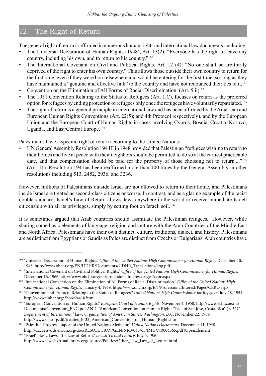# 12. The Right of Return

The general right of return is affirmed in numerous human rights and international law documents, including:

- The Universal Declaration of Human Rights (1948), Art. 13(2): "Everyone has the right to leave any country, including his own, and to return to his country."160
- The International Covenant on Civil and Political Rights, Art. 12 (4): "No one shall be arbitrarily deprived of the right to enter his own country." This allows those outside their own country to return for the first time, even if they were born elsewhere and would be entering for the first time, so long as they have maintained a "genuine and effective link" to the country and have not renounced their ties to it.<sup>161</sup>
- Convention on the Elimination of All Forms of Racial Discrimination. (Art. 5 ii)<sup>162</sup>
- The 1951 Convention Relating to the Status of Refugees (Art. 1.C), focuses on return as the preferred option for refugees by ending protection of refugees only once the refugees have voluntarily repatriated.163
- The right of return is a general principle in international law and has been affirmed by the American and European Human Rights Conventions (Art. 22(5); and 4th Protocol respectively), and by the European Union and the European Court of Human Rights in cases involving Cyprus, Bosnia, Croatia, Kosovo, Uganda, and East/Central Europe.<sup>164</sup>

Palestinians have a specific right of return according to the United Nations:

• UN General Assembly Resolution 194 III in 1948 provided that Palestinian "refugees wishing to return to their homes and live at peace with their neighbors should be permitted to do so at the earliest practicable date, and that compensation should be paid for the property of those choosing not to return...."<sup>165</sup> (Art. 11). Resolution 194 has been reaffirmed more than 100 times by the General Assembly in other resolutions including 513, 2452, 2936, and 3236.

However, millions of Palestinians outside Israel are not allowed to return to their home, and Palestinians inside Israel are treated as second-class citizens or worse. In contrast, and as a glaring example of the racist double standard, Israel's Law of Return allows Jews anywhere in the world to receive immediate Israeli citizenship with all its privileges, simply by setting foot on Israeli soil.166

It is sometimes argued that Arab countries should assimilate the Palestinian refugees. However, while sharing some basic elements of language, religion and culture with the Arab Countries of the Middle East and North Africa, Palestinians have their own distinct, culture, traditions, dialect, and history. Palestinians are as distinct from Egyptians or Saudis as Poles are distinct from Czechs or Bulgarians. Arab countries have

<sup>&</sup>lt;sup>160</sup> "Universal Declaration of Human Rights." Office of the United Nations High Commissioner for Human Rights. December 10, 1948. http://www.ohchr.org/EN/UDHR/Documents/UDHR\_Translations/eng.pdf

<sup>161 &</sup>quot;International Covenant on Civil and Political Rights." *Office of the United Nations High Commissioner for Human Rights*. December 16, 1966. http://www.ohchr.org/en/professionalinterest/pages/ccpr.aspx

<sup>162 &</sup>quot;International Convention on the Elimination of All Forms of Racial Discrimination." *Office of the United Nations High Commissioner for Human Rights.* January 4, 1969. http://www.ohchr.org/EN/ProfessionalInterest/Pages/CERD.aspx

<sup>163 &</sup>quot;Convention and Protocol Relating to the Status of Refugees." *United Nations High Commissioner for Refugees*. July 28, 1951. http://www.unhcr.org/3b66c2aa10.html

<sup>164 &</sup>quot;European Convention on Human Rights." *European Court of Human Rights*. November 4, 1950. http://www.echr.coe.int/ Documents/Convention\_ENG.pdf AND "American Convention on Human Rights "Pact of San Jose, Costa Rica" (B-32)" *Department of International Law: Organization of American States, Washington, D.C*. November 22, 1969. http://www.oas.org/dil/treaties\_B-32\_American\_Convention\_on\_Human\_Rights.htm

<sup>165 &</sup>quot;Palestine-Progress Raport of the United Nations Mediator." *United Nations Documents*. December 11, 1948. http://daccess-dds-ny.un.org/doc/RESOLUTION/GEN/NR0/043/65/IMG/NR004365.pdf?OpenElement

<sup>166 &</sup>quot;Israel's Basic Laws: The Law of Return." *Jewish Virtual Library*. July 5, 1950. http://www.jewishvirtuallibrary.org/jsource/Politics/Other\_Law\_Law\_of\_Return.html